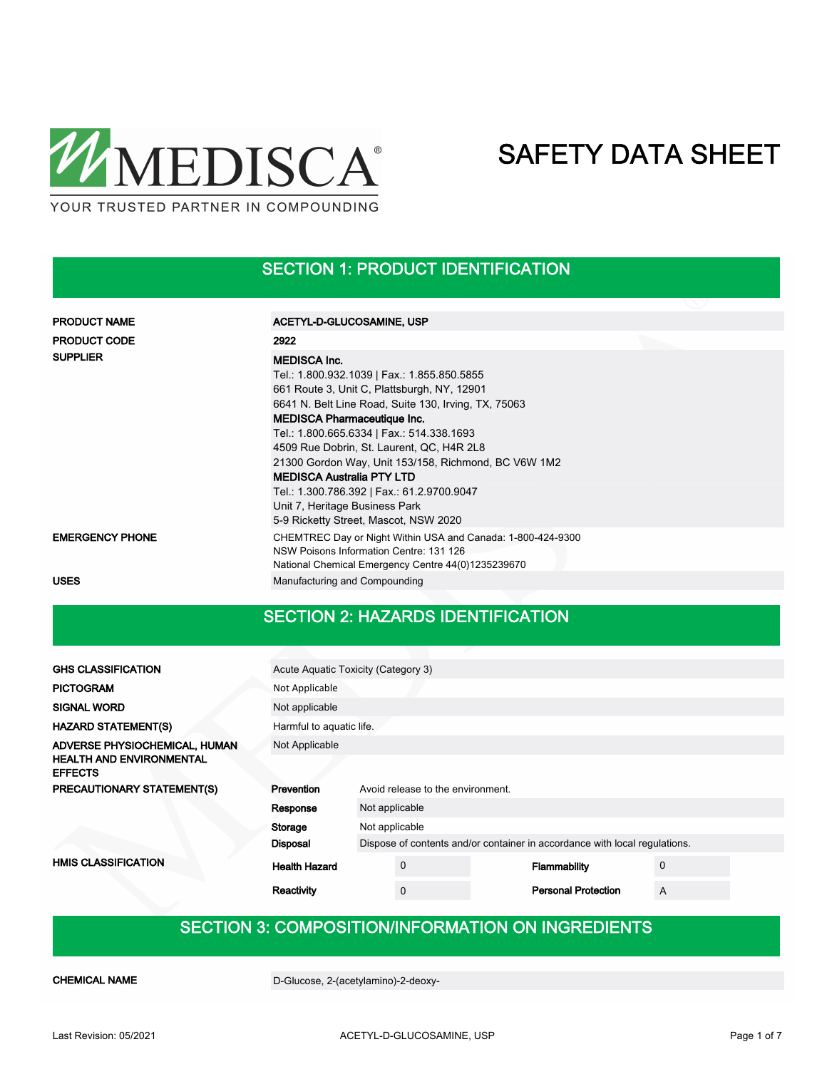

### SECTION 1: PRODUCT IDENTIFICATION

| <b>PRODUCT NAME</b>    | ACETYL-D-GLUCOSAMINE, USP                                                                                                                                                                                                                                                                                                                                                                                                                                                             |
|------------------------|---------------------------------------------------------------------------------------------------------------------------------------------------------------------------------------------------------------------------------------------------------------------------------------------------------------------------------------------------------------------------------------------------------------------------------------------------------------------------------------|
| <b>PRODUCT CODE</b>    | 2922                                                                                                                                                                                                                                                                                                                                                                                                                                                                                  |
| <b>SUPPLIER</b>        | <b>MEDISCA Inc.</b><br>Tel.: 1.800.932.1039   Fax.: 1.855.850.5855<br>661 Route 3, Unit C, Plattsburgh, NY, 12901<br>6641 N. Belt Line Road, Suite 130, Irving, TX, 75063<br><b>MEDISCA Pharmaceutique Inc.</b><br>Tel.: 1.800.665.6334   Fax.: 514.338.1693<br>4509 Rue Dobrin, St. Laurent, QC, H4R 2L8<br>21300 Gordon Way, Unit 153/158, Richmond, BC V6W 1M2<br><b>MEDISCA Australia PTY LTD</b><br>Tel.: 1.300.786.392   Fax.: 61.2.9700.9047<br>Unit 7, Heritage Business Park |
|                        | 5-9 Ricketty Street, Mascot, NSW 2020                                                                                                                                                                                                                                                                                                                                                                                                                                                 |
| <b>EMERGENCY PHONE</b> | CHEMTREC Day or Night Within USA and Canada: 1-800-424-9300<br>NSW Poisons Information Centre: 131 126<br>National Chemical Emergency Centre 44(0)1235239670                                                                                                                                                                                                                                                                                                                          |
| <b>USES</b>            | Manufacturing and Compounding                                                                                                                                                                                                                                                                                                                                                                                                                                                         |

### SECTION 2: HAZARDS IDENTIFICATION

| <b>GHS CLASSIFICATION</b>                                                          | Acute Aquatic Toxicity (Category 3)             |  |             |                                                                            |                            |             |  |  |
|------------------------------------------------------------------------------------|-------------------------------------------------|--|-------------|----------------------------------------------------------------------------|----------------------------|-------------|--|--|
| <b>PICTOGRAM</b>                                                                   | Not Applicable                                  |  |             |                                                                            |                            |             |  |  |
| <b>SIGNAL WORD</b>                                                                 | Not applicable                                  |  |             |                                                                            |                            |             |  |  |
| <b>HAZARD STATEMENT(S)</b>                                                         | Harmful to aquatic life.                        |  |             |                                                                            |                            |             |  |  |
| ADVERSE PHYSIOCHEMICAL, HUMAN<br><b>HEALTH AND ENVIRONMENTAL</b><br><b>EFFECTS</b> | Not Applicable                                  |  |             |                                                                            |                            |             |  |  |
| PRECAUTIONARY STATEMENT(S)                                                         | Prevention<br>Avoid release to the environment. |  |             |                                                                            |                            |             |  |  |
|                                                                                    | Not applicable<br>Response                      |  |             |                                                                            |                            |             |  |  |
|                                                                                    | Storage<br>Not applicable                       |  |             |                                                                            |                            |             |  |  |
|                                                                                    | <b>Disposal</b>                                 |  |             | Dispose of contents and/or container in accordance with local regulations. |                            |             |  |  |
| <b>HMIS CLASSIFICATION</b>                                                         | <b>Health Hazard</b>                            |  | $\mathbf 0$ |                                                                            | Flammability               | $\mathbf 0$ |  |  |
|                                                                                    | Reactivity                                      |  | $\mathbf 0$ |                                                                            | <b>Personal Protection</b> | A           |  |  |

### SECTION 3: COMPOSITION/INFORMATION ON INGREDIENTS

CHEMICAL NAME D-Glucose, 2-(acetylamino)-2-deoxy-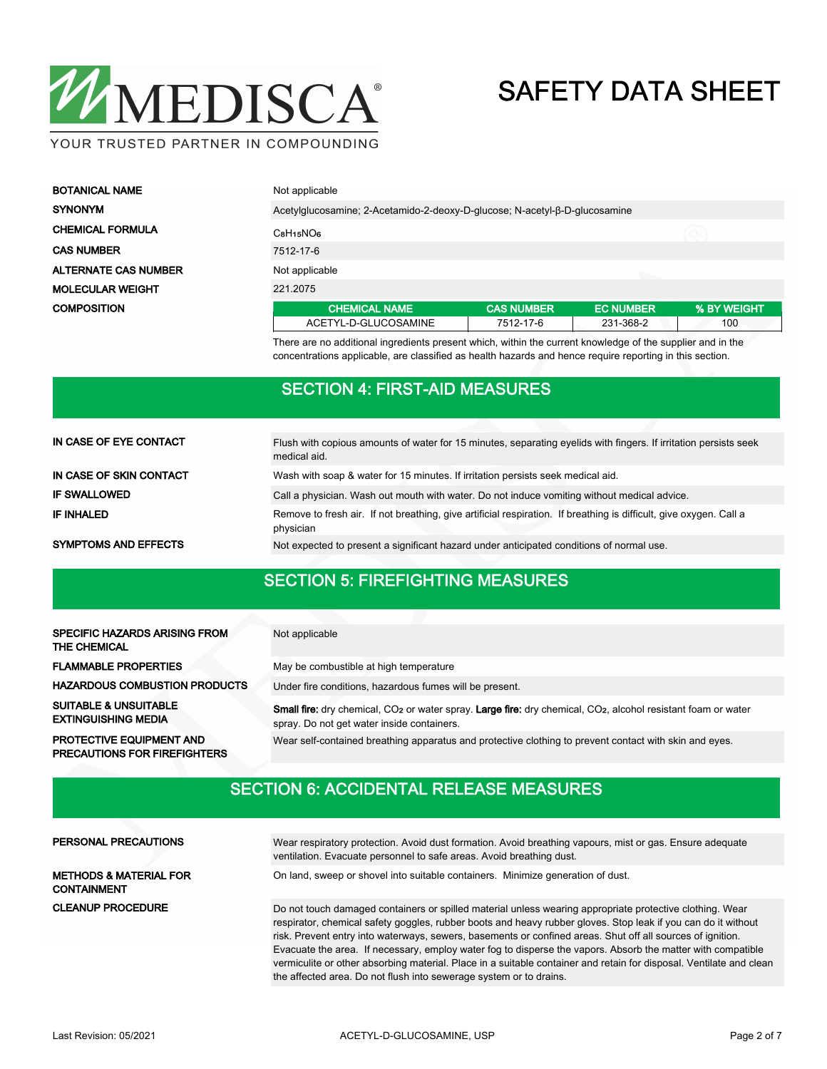

YOUR TRUSTED PARTNER IN COMPOUNDING

| <b>BOTANICAL NAME</b>       | Not applicable                                                             |                   |                  |             |  |  |  |
|-----------------------------|----------------------------------------------------------------------------|-------------------|------------------|-------------|--|--|--|
| <b>SYNONYM</b>              | Acetylglucosamine; 2-Acetamido-2-deoxy-D-glucose; N-acetyl-B-D-glucosamine |                   |                  |             |  |  |  |
| <b>CHEMICAL FORMULA</b>     | $C_8H_15NO6$                                                               |                   |                  |             |  |  |  |
| <b>CAS NUMBER</b>           | 7512-17-6                                                                  |                   |                  |             |  |  |  |
| <b>ALTERNATE CAS NUMBER</b> | Not applicable                                                             |                   |                  |             |  |  |  |
| <b>MOLECULAR WEIGHT</b>     | 221.2075                                                                   |                   |                  |             |  |  |  |
| <b>COMPOSITION</b>          | <b>CHEMICAL NAME</b>                                                       | <b>CAS NUMBER</b> | <b>EC NUMBER</b> | % BY WEIGHT |  |  |  |
|                             | ACETYL-D-GLUCOSAMINE                                                       | 7512-17-6         | 231-368-2        | 100         |  |  |  |

There are no additional ingredients present which, within the current knowledge of the supplier and in the concentrations applicable, are classified as health hazards and hence require reporting in this section.

### SECTION 4: FIRST-AID MEASURES

| IN CASE OF EYE CONTACT      | Flush with copious amounts of water for 15 minutes, separating eyelids with fingers. If irritation persists seek<br>medical aid. |  |  |  |  |  |
|-----------------------------|----------------------------------------------------------------------------------------------------------------------------------|--|--|--|--|--|
| IN CASE OF SKIN CONTACT     | Wash with soap & water for 15 minutes. If irritation persists seek medical aid.                                                  |  |  |  |  |  |
| <b>IF SWALLOWED</b>         | Call a physician. Wash out mouth with water. Do not induce vomiting without medical advice.                                      |  |  |  |  |  |
| <b>IF INHALED</b>           | Remove to fresh air. If not breathing, give artificial respiration. If breathing is difficult, give oxygen. Call a<br>physician  |  |  |  |  |  |
| <b>SYMPTOMS AND EFFECTS</b> | Not expected to present a significant hazard under anticipated conditions of normal use.                                         |  |  |  |  |  |

### SECTION 5: FIREFIGHTING MEASURES

| <b>SPECIFIC HAZARDS ARISING FROM</b><br><b>THE CHEMICAL</b>            | Not applicable                                                                                                                                                                             |
|------------------------------------------------------------------------|--------------------------------------------------------------------------------------------------------------------------------------------------------------------------------------------|
| <b>FLAMMABLE PROPERTIES</b>                                            | May be combustible at high temperature                                                                                                                                                     |
| <b>HAZARDOUS COMBUSTION PRODUCTS</b>                                   | Under fire conditions, hazardous fumes will be present.                                                                                                                                    |
| <b>SUITABLE &amp; UNSUITABLE</b><br><b>EXTINGUISHING MEDIA</b>         | <b>Small fire:</b> dry chemical, CO <sub>2</sub> or water spray. Large fire: dry chemical, CO <sub>2</sub> , alcohol resistant foam or water<br>spray. Do not get water inside containers. |
| <b>PROTECTIVE EQUIPMENT AND</b><br><b>PRECAUTIONS FOR FIREFIGHTERS</b> | Wear self-contained breathing apparatus and protective clothing to prevent contact with skin and eyes.                                                                                     |

### SECTION 6: ACCIDENTAL RELEASE MEASURES

| PERSONAL PRECAUTIONS                                    | Wear respiratory protection. Avoid dust formation. Avoid breathing vapours, mist or gas. Ensure adequate<br>ventilation. Evacuate personnel to safe areas. Avoid breathing dust.                                                                                                                                                        |
|---------------------------------------------------------|-----------------------------------------------------------------------------------------------------------------------------------------------------------------------------------------------------------------------------------------------------------------------------------------------------------------------------------------|
| <b>METHODS &amp; MATERIAL FOR</b><br><b>CONTAINMENT</b> | On land, sweep or shovel into suitable containers. Minimize generation of dust.                                                                                                                                                                                                                                                         |
| <b>CLEANUP PROCEDURE</b>                                | Do not touch damaged containers or spilled material unless wearing appropriate protective clothing. Wear<br>respirator, chemical safety goggles, rubber boots and heavy rubber gloves. Stop leak if you can do it without<br>risk. Prevent entry into waterways, sewers, basements or confined areas. Shut off all sources of ignition. |
|                                                         | Evacuate the area. If necessary, employ water fog to disperse the vapors. Absorb the matter with compatible<br>vermiculite or other absorbing material. Place in a suitable container and retain for disposal. Ventilate and clean                                                                                                      |

the affected area. Do not flush into sewerage system or to drains.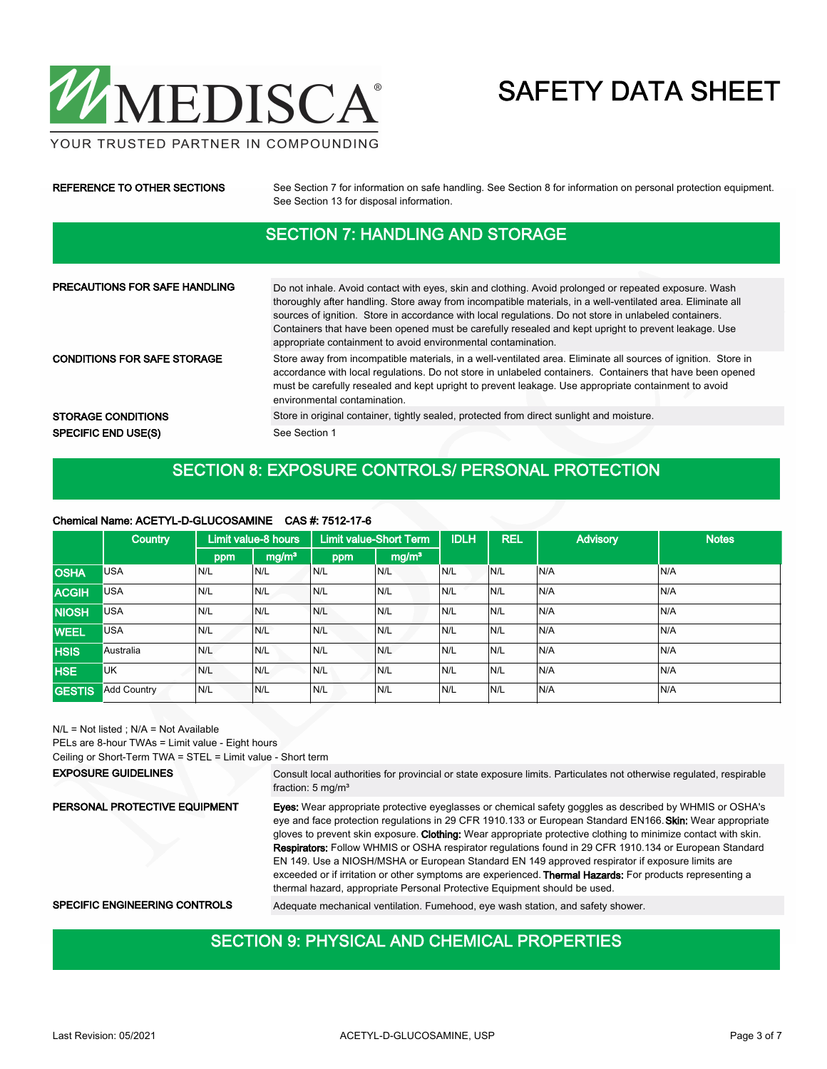

YOUR TRUSTED PARTNER IN COMPOUNDING

| REFERENCE TO OTHER SECTIONS          | See Section 7 for information on safe handling. See Section 8 for information on personal protection equipment.<br>See Section 13 for disposal information.                                                                                                                                                                                                                                                                                                                                             |  |  |  |  |
|--------------------------------------|---------------------------------------------------------------------------------------------------------------------------------------------------------------------------------------------------------------------------------------------------------------------------------------------------------------------------------------------------------------------------------------------------------------------------------------------------------------------------------------------------------|--|--|--|--|
|                                      | <b>SECTION 7: HANDLING AND STORAGE</b>                                                                                                                                                                                                                                                                                                                                                                                                                                                                  |  |  |  |  |
|                                      |                                                                                                                                                                                                                                                                                                                                                                                                                                                                                                         |  |  |  |  |
| <b>PRECAUTIONS FOR SAFE HANDLING</b> | Do not inhale. Avoid contact with eyes, skin and clothing. Avoid prolonged or repeated exposure. Wash<br>thoroughly after handling. Store away from incompatible materials, in a well-ventilated area. Eliminate all<br>sources of ignition. Store in accordance with local regulations. Do not store in unlabeled containers.<br>Containers that have been opened must be carefully resealed and kept upright to prevent leakage. Use<br>appropriate containment to avoid environmental contamination. |  |  |  |  |
| <b>CONDITIONS FOR SAFE STORAGE</b>   | Store away from incompatible materials, in a well-ventilated area. Eliminate all sources of ignition. Store in<br>accordance with local regulations. Do not store in unlabeled containers. Containers that have been opened<br>must be carefully resealed and kept upright to prevent leakage. Use appropriate containment to avoid<br>environmental contamination.                                                                                                                                     |  |  |  |  |
| <b>STORAGE CONDITIONS</b>            | Store in original container, tightly sealed, protected from direct sunlight and moisture.                                                                                                                                                                                                                                                                                                                                                                                                               |  |  |  |  |
| <b>SPECIFIC END USE(S)</b>           | See Section 1                                                                                                                                                                                                                                                                                                                                                                                                                                                                                           |  |  |  |  |

### SECTION 8: EXPOSURE CONTROLS/ PERSONAL PROTECTION

#### Chemical Name: ACETYL-D-GLUCOSAMINE CAS #: 7512-17-6

|               | <b>Country</b>     |     | Limit value-8 hours |     | <b>Limit value-Short Term</b> |      | <b>REL</b> | <b>Advisory</b> | <b>Notes</b> |
|---------------|--------------------|-----|---------------------|-----|-------------------------------|------|------------|-----------------|--------------|
|               |                    | ppm | mg/m <sup>3</sup>   | ppm | mg/m <sup>3</sup>             |      |            |                 |              |
| <b>OSHA</b>   | <b>USA</b>         | N/L | N/L                 | N/L | N/L                           | N/L  | N/L        | N/A             | N/A          |
| <b>ACGIH</b>  | <b>USA</b>         | N/L | N/L                 | N/L | N/L                           | IN/L | N/L        | N/A             | N/A          |
| <b>NIOSH</b>  | <b>USA</b>         | N/L | N/L                 | N/L | N/L                           | N/L  | N/L        | N/A             | N/A          |
| <b>WEEL</b>   | <b>USA</b>         | N/L | N/L                 | N/L | N/L                           | IN/L | N/L        | N/A             | N/A          |
| <b>HSIS</b>   | Australia          | N/L | N/L                 | N/L | N/L                           | N/L  | N/L        | N/A             | N/A          |
| <b>HSE</b>    | <b>UK</b>          | N/L | N/L                 | N/L | N/L                           | N/L  | N/L        | N/A             | N/A          |
| <b>GESTIS</b> | <b>Add Country</b> | N/L | N/L                 | N/L | N/L                           | IN/L | N/L        | N/A             | N/A          |

N/L = Not listed ; N/A = Not Available

PELs are 8-hour TWAs = Limit value - Eight hours Ceiling or Short-Term TWA = STEL = Limit value - Short term

Consult local authorities for provincial or state exposure limits. Particulates not otherwise regulated, respirable fraction: 5 mg/m³ EXPOSURE GUIDELINES Eyes: Wear appropriate protective eyeglasses or chemical safety goggles as described by WHMIS or OSHA's eye and face protection regulations in 29 CFR 1910.133 or European Standard EN166. Skin: Wear appropriate gloves to prevent skin exposure. Clothing: Wear appropriate protective clothing to minimize contact with skin. Respirators: Follow WHMIS or OSHA respirator regulations found in 29 CFR 1910.134 or European Standard EN 149. Use a NIOSH/MSHA or European Standard EN 149 approved respirator if exposure limits are exceeded or if irritation or other symptoms are experienced. Thermal Hazards: For products representing a thermal hazard, appropriate Personal Protective Equipment should be used. PERSONAL PROTECTIVE EQUIPMENT SPECIFIC ENGINEERING CONTROLS Adequate mechanical ventilation. Fumehood, eye wash station, and safety shower.

### SECTION 9: PHYSICAL AND CHEMICAL PROPERTIES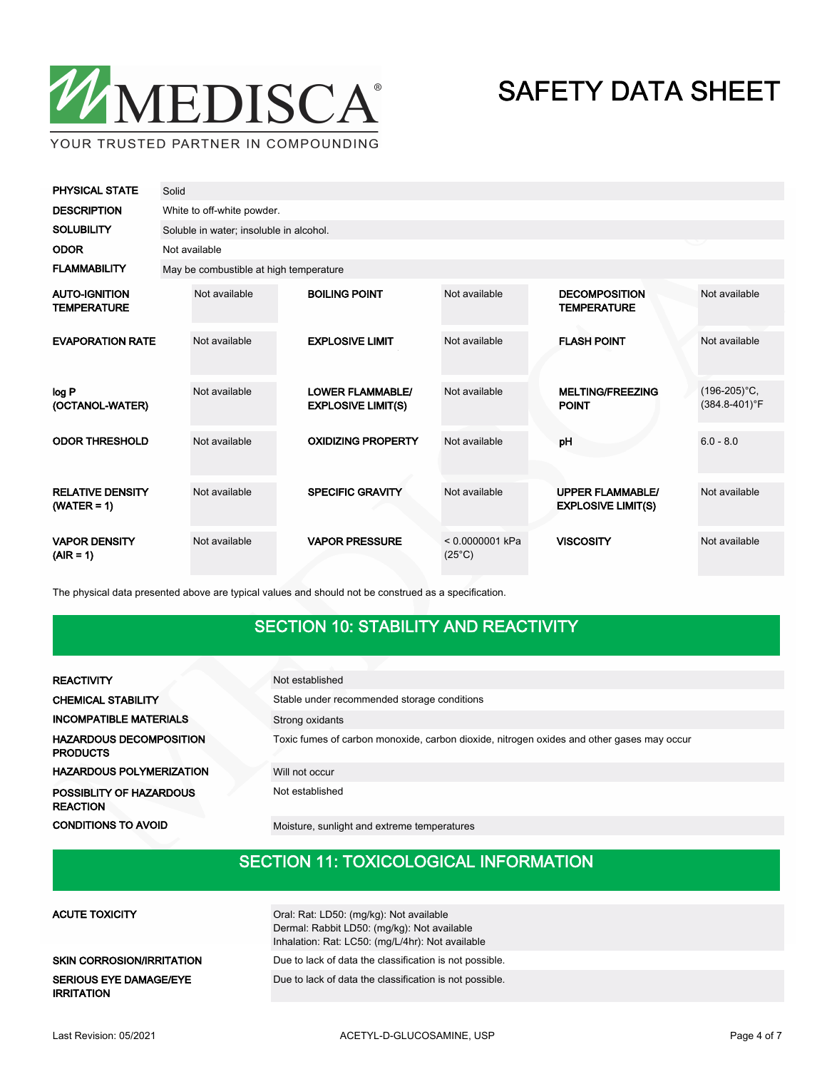

| <b>PHYSICAL STATE</b>                      | Solid |                                         |  |                                                      |                                      |  |                                                      |                                       |  |  |  |
|--------------------------------------------|-------|-----------------------------------------|--|------------------------------------------------------|--------------------------------------|--|------------------------------------------------------|---------------------------------------|--|--|--|
| <b>DESCRIPTION</b>                         |       | White to off-white powder.              |  |                                                      |                                      |  |                                                      |                                       |  |  |  |
| <b>SOLUBILITY</b>                          |       | Soluble in water; insoluble in alcohol. |  |                                                      |                                      |  |                                                      |                                       |  |  |  |
| <b>ODOR</b>                                |       | Not available                           |  |                                                      |                                      |  |                                                      |                                       |  |  |  |
| <b>FLAMMABILITY</b>                        |       | May be combustible at high temperature  |  |                                                      |                                      |  |                                                      |                                       |  |  |  |
| <b>AUTO-IGNITION</b><br><b>TEMPERATURE</b> |       | Not available                           |  | <b>BOILING POINT</b>                                 | Not available                        |  | <b>DECOMPOSITION</b><br><b>TEMPERATURE</b>           | Not available                         |  |  |  |
| <b>EVAPORATION RATE</b>                    |       | Not available                           |  | <b>EXPLOSIVE LIMIT</b>                               | Not available                        |  | <b>FLASH POINT</b>                                   | Not available                         |  |  |  |
| log P<br>(OCTANOL-WATER)                   |       | Not available                           |  | <b>LOWER FLAMMABLE/</b><br><b>EXPLOSIVE LIMIT(S)</b> | Not available                        |  | <b>MELTING/FREEZING</b><br><b>POINT</b>              | $(196-205)$ °C,<br>$(384.8 - 401)$ °F |  |  |  |
| <b>ODOR THRESHOLD</b>                      |       | Not available                           |  | <b>OXIDIZING PROPERTY</b>                            | Not available                        |  | pH                                                   | $6.0 - 8.0$                           |  |  |  |
| <b>RELATIVE DENSITY</b><br>$(WATER = 1)$   |       | Not available                           |  | <b>SPECIFIC GRAVITY</b>                              | Not available                        |  | <b>UPPER FLAMMABLE/</b><br><b>EXPLOSIVE LIMIT(S)</b> | Not available                         |  |  |  |
| <b>VAPOR DENSITY</b><br>$(AIR = 1)$        |       | Not available                           |  | <b>VAPOR PRESSURE</b>                                | $< 0.0000001$ kPa<br>$(25^{\circ}C)$ |  | <b>VISCOSITY</b>                                     | Not available                         |  |  |  |

The physical data presented above are typical values and should not be construed as a specification.

### SECTION 10: STABILITY AND REACTIVITY

| <b>REACTIVITY</b>                                 | Not established                                                                           |  |  |  |  |  |
|---------------------------------------------------|-------------------------------------------------------------------------------------------|--|--|--|--|--|
| <b>CHEMICAL STABILITY</b>                         | Stable under recommended storage conditions                                               |  |  |  |  |  |
| <b>INCOMPATIBLE MATERIALS</b>                     | Strong oxidants                                                                           |  |  |  |  |  |
| <b>HAZARDOUS DECOMPOSITION</b><br><b>PRODUCTS</b> | Toxic fumes of carbon monoxide, carbon dioxide, nitrogen oxides and other gases may occur |  |  |  |  |  |
| <b>HAZARDOUS POLYMERIZATION</b>                   | Will not occur                                                                            |  |  |  |  |  |
| POSSIBLITY OF HAZARDOUS<br><b>REACTION</b>        | Not established                                                                           |  |  |  |  |  |
| <b>CONDITIONS TO AVOID</b>                        | Moisture, sunlight and extreme temperatures                                               |  |  |  |  |  |

#### SECTION 11: TOXICOLOGICAL INFORMATION

| ACUTE TOXICITY                              | Oral: Rat: LD50: (mg/kg): Not available<br>Dermal: Rabbit LD50: (mg/kg): Not available<br>Inhalation: Rat: LC50: (mg/L/4hr): Not available |
|---------------------------------------------|--------------------------------------------------------------------------------------------------------------------------------------------|
| SKIN CORROSION/IRRITATION                   | Due to lack of data the classification is not possible.                                                                                    |
| SERIOUS EYE DAMAGE/EYE<br><b>IRRITATION</b> | Due to lack of data the classification is not possible.                                                                                    |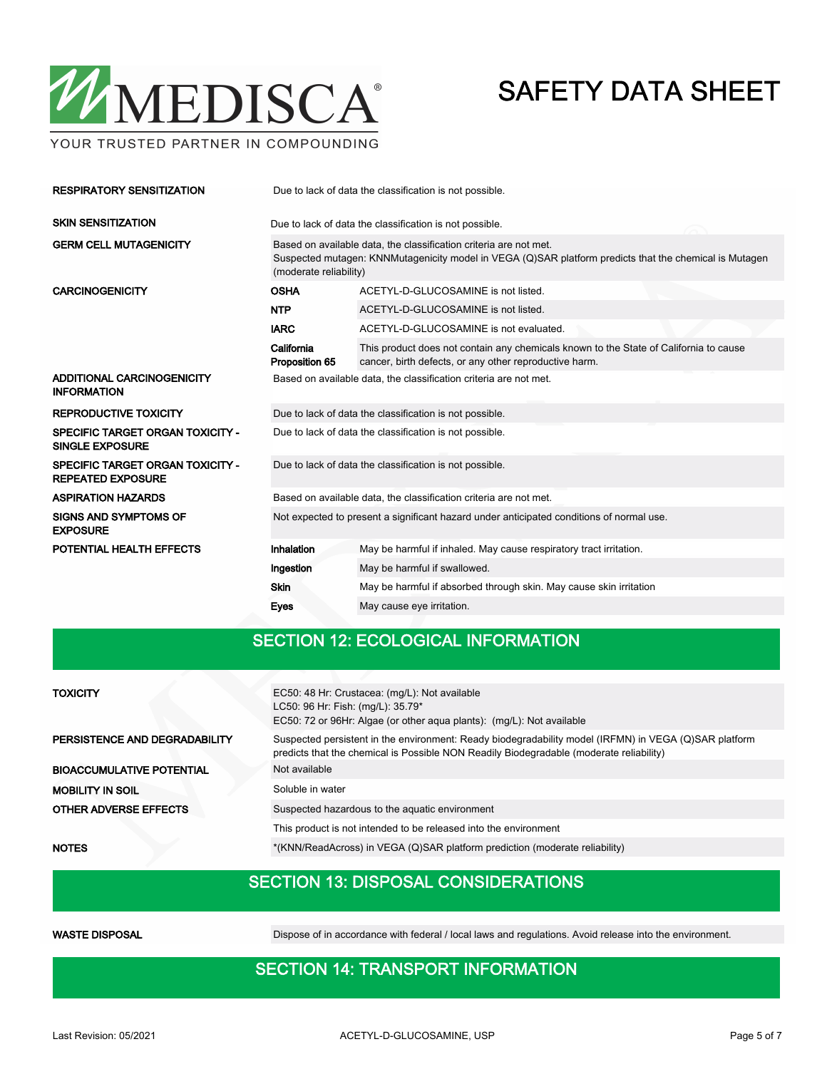

YOUR TRUSTED PARTNER IN COMPOUNDING

| <b>RESPIRATORY SENSITIZATION</b>                                    | Due to lack of data the classification is not possible.                                                                                                                                               |                                                                                                                                                 |  |  |  |  |  |
|---------------------------------------------------------------------|-------------------------------------------------------------------------------------------------------------------------------------------------------------------------------------------------------|-------------------------------------------------------------------------------------------------------------------------------------------------|--|--|--|--|--|
| <b>SKIN SENSITIZATION</b>                                           |                                                                                                                                                                                                       | Due to lack of data the classification is not possible.                                                                                         |  |  |  |  |  |
| <b>GERM CELL MUTAGENICITY</b>                                       | Based on available data, the classification criteria are not met.<br>Suspected mutagen: KNNMutagenicity model in VEGA (Q)SAR platform predicts that the chemical is Mutagen<br>(moderate reliability) |                                                                                                                                                 |  |  |  |  |  |
| <b>CARCINOGENICITY</b>                                              | <b>OSHA</b>                                                                                                                                                                                           | ACETYL-D-GLUCOSAMINE is not listed.                                                                                                             |  |  |  |  |  |
|                                                                     | <b>NTP</b>                                                                                                                                                                                            | ACETYL-D-GLUCOSAMINE is not listed.                                                                                                             |  |  |  |  |  |
|                                                                     | <b>IARC</b>                                                                                                                                                                                           | ACETYL-D-GLUCOSAMINE is not evaluated.                                                                                                          |  |  |  |  |  |
|                                                                     | California<br>Proposition 65                                                                                                                                                                          | This product does not contain any chemicals known to the State of California to cause<br>cancer, birth defects, or any other reproductive harm. |  |  |  |  |  |
| ADDITIONAL CARCINOGENICITY<br><b>INFORMATION</b>                    | Based on available data, the classification criteria are not met.                                                                                                                                     |                                                                                                                                                 |  |  |  |  |  |
| <b>REPRODUCTIVE TOXICITY</b>                                        | Due to lack of data the classification is not possible.                                                                                                                                               |                                                                                                                                                 |  |  |  |  |  |
| <b>SPECIFIC TARGET ORGAN TOXICITY -</b><br><b>SINGLE EXPOSURE</b>   | Due to lack of data the classification is not possible.                                                                                                                                               |                                                                                                                                                 |  |  |  |  |  |
| <b>SPECIFIC TARGET ORGAN TOXICITY -</b><br><b>REPEATED EXPOSURE</b> | Due to lack of data the classification is not possible.                                                                                                                                               |                                                                                                                                                 |  |  |  |  |  |
| <b>ASPIRATION HAZARDS</b>                                           |                                                                                                                                                                                                       | Based on available data, the classification criteria are not met.                                                                               |  |  |  |  |  |
| <b>SIGNS AND SYMPTOMS OF</b><br><b>EXPOSURE</b>                     | Not expected to present a significant hazard under anticipated conditions of normal use.                                                                                                              |                                                                                                                                                 |  |  |  |  |  |
| POTENTIAL HEALTH EFFECTS                                            | Inhalation                                                                                                                                                                                            | May be harmful if inhaled. May cause respiratory tract irritation.                                                                              |  |  |  |  |  |
|                                                                     | Ingestion                                                                                                                                                                                             | May be harmful if swallowed.                                                                                                                    |  |  |  |  |  |
|                                                                     | Skin                                                                                                                                                                                                  | May be harmful if absorbed through skin. May cause skin irritation                                                                              |  |  |  |  |  |
|                                                                     | Eyes                                                                                                                                                                                                  | May cause eye irritation.                                                                                                                       |  |  |  |  |  |

### SECTION 12: ECOLOGICAL INFORMATION

| <b>TOXICITY</b>                  | EC50: 48 Hr: Crustacea: (mg/L): Not available<br>LC50: 96 Hr: Fish: (mg/L): 35.79*<br>EC50: 72 or 96Hr: Algae (or other aqua plants): (mg/L): Not available                                      |  |  |  |  |
|----------------------------------|--------------------------------------------------------------------------------------------------------------------------------------------------------------------------------------------------|--|--|--|--|
| PERSISTENCE AND DEGRADABILITY    | Suspected persistent in the environment: Ready biodegradability model (IRFMN) in VEGA (Q)SAR platform<br>predicts that the chemical is Possible NON Readily Biodegradable (moderate reliability) |  |  |  |  |
| <b>BIOACCUMULATIVE POTENTIAL</b> | Not available                                                                                                                                                                                    |  |  |  |  |
| <b>MOBILITY IN SOIL</b>          | Soluble in water                                                                                                                                                                                 |  |  |  |  |
| <b>OTHER ADVERSE EFFECTS</b>     | Suspected hazardous to the aquatic environment                                                                                                                                                   |  |  |  |  |
|                                  | This product is not intended to be released into the environment                                                                                                                                 |  |  |  |  |
|                                  |                                                                                                                                                                                                  |  |  |  |  |

#### NOTES \*(KNN/ReadAcross) in VEGA (Q)SAR platform prediction (moderate reliability)

### SECTION 13: DISPOSAL CONSIDERATIONS

WASTE DISPOSAL **Dispose of in accordance with federal / local laws and regulations**. Avoid release into the environment.

### SECTION 14: TRANSPORT INFORMATION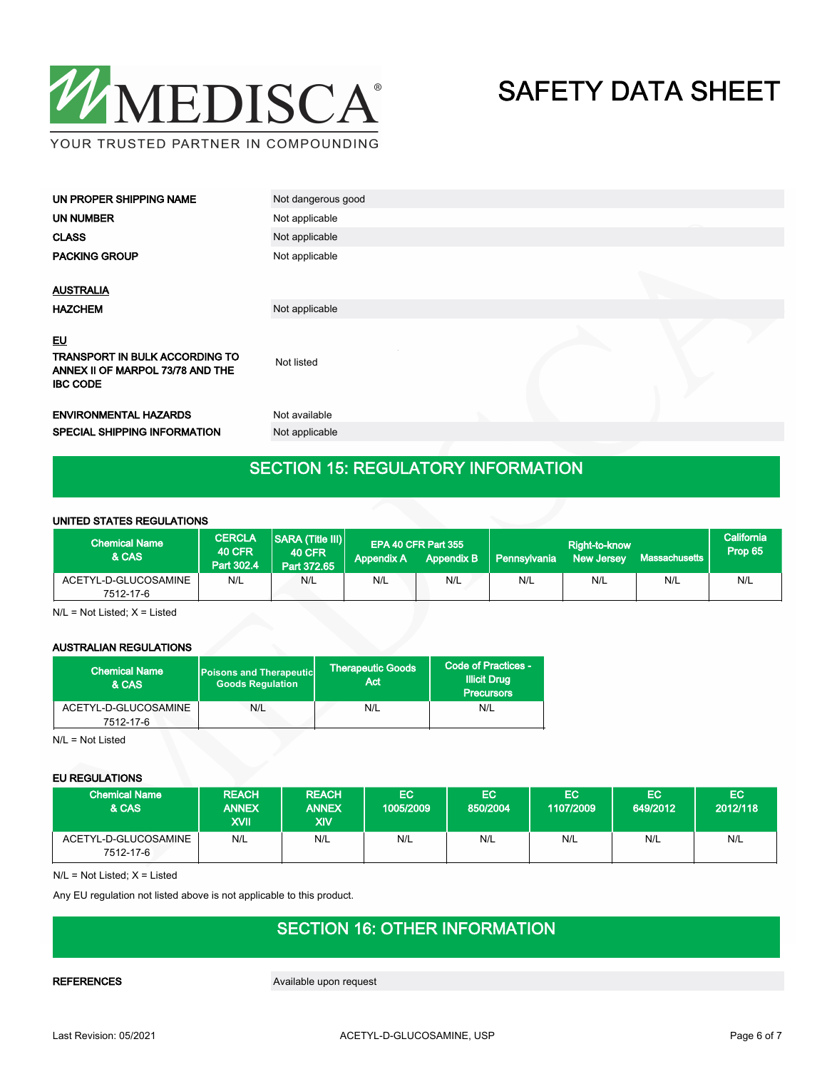

| UN PROPER SHIPPING NAME                                                                                   | Not dangerous good |
|-----------------------------------------------------------------------------------------------------------|--------------------|
| UN NUMBER                                                                                                 | Not applicable     |
| <b>CLASS</b>                                                                                              | Not applicable     |
| <b>PACKING GROUP</b>                                                                                      | Not applicable     |
| <b>AUSTRALIA</b>                                                                                          |                    |
| <b>HAZCHEM</b>                                                                                            | Not applicable     |
| <b>EU</b><br><b>TRANSPORT IN BULK ACCORDING TO</b><br>ANNEX II OF MARPOL 73/78 AND THE<br><b>IBC CODE</b> | Not listed         |
| <b>ENVIRONMENTAL HAZARDS</b>                                                                              | Not available      |
| <b>SPECIAL SHIPPING INFORMATION</b>                                                                       | Not applicable     |
|                                                                                                           |                    |

### SECTION 15: REGULATORY INFORMATION

#### UNITED STATES REGULATIONS

| <b>Chemical Name</b><br>& CAS     | <b>CERCLA</b><br><b>40 CFR</b><br>Part 302.4 | <b>SARA (Title III)</b><br><b>40 CFR</b><br>Part 372.65 | <b>Appendix A</b> | EPA 40 CFR Part 355<br><b>Appendix B</b> | Pennsylvania | Right-to-know<br><b>New Jersey</b> | <b>Massachusetts</b> | California<br>Prop 65 |
|-----------------------------------|----------------------------------------------|---------------------------------------------------------|-------------------|------------------------------------------|--------------|------------------------------------|----------------------|-----------------------|
| ACETYL-D-GLUCOSAMINE<br>7512-17-6 | N/L                                          | N/L                                                     | N/L               | N/L                                      | N/L          | N/L                                | N/L                  | N/L                   |

N/L = Not Listed; X = Listed

#### AUSTRALIAN REGULATIONS

| <b>Chemical Name</b><br><b>Poisons and Therapeutic</b><br><b>Goods Requlation</b><br>& CAS |     | Therapeutic Goods \<br>Act | Code of Practices -<br><b>Illicit Drug</b><br><b>Precursors</b> |  |
|--------------------------------------------------------------------------------------------|-----|----------------------------|-----------------------------------------------------------------|--|
| ACETYL-D-GLUCOSAMINE<br>7512-17-6                                                          | N/L | N/L                        | N/L                                                             |  |

N/L = Not Listed

#### EU REGULATIONS

| <b>Chemical Name</b><br>& CAS     | <b>REACH</b><br><b>ANNEX</b><br>XVII | <b>REACH</b><br><b>ANNEX</b><br>XIV | EC<br>1005/2009 | EC<br>850/2004 | <b>EC</b><br>1107/2009 | EC.<br>649/2012 | EC<br>2012/118 |
|-----------------------------------|--------------------------------------|-------------------------------------|-----------------|----------------|------------------------|-----------------|----------------|
| ACETYL-D-GLUCOSAMINE<br>7512-17-6 | N/L                                  | N/L                                 | N/L             | N/L            | N/L                    | N/L             | N/L            |

N/L = Not Listed; X = Listed

Any EU regulation not listed above is not applicable to this product.

### SECTION 16: OTHER INFORMATION

REFERENCES Available upon request